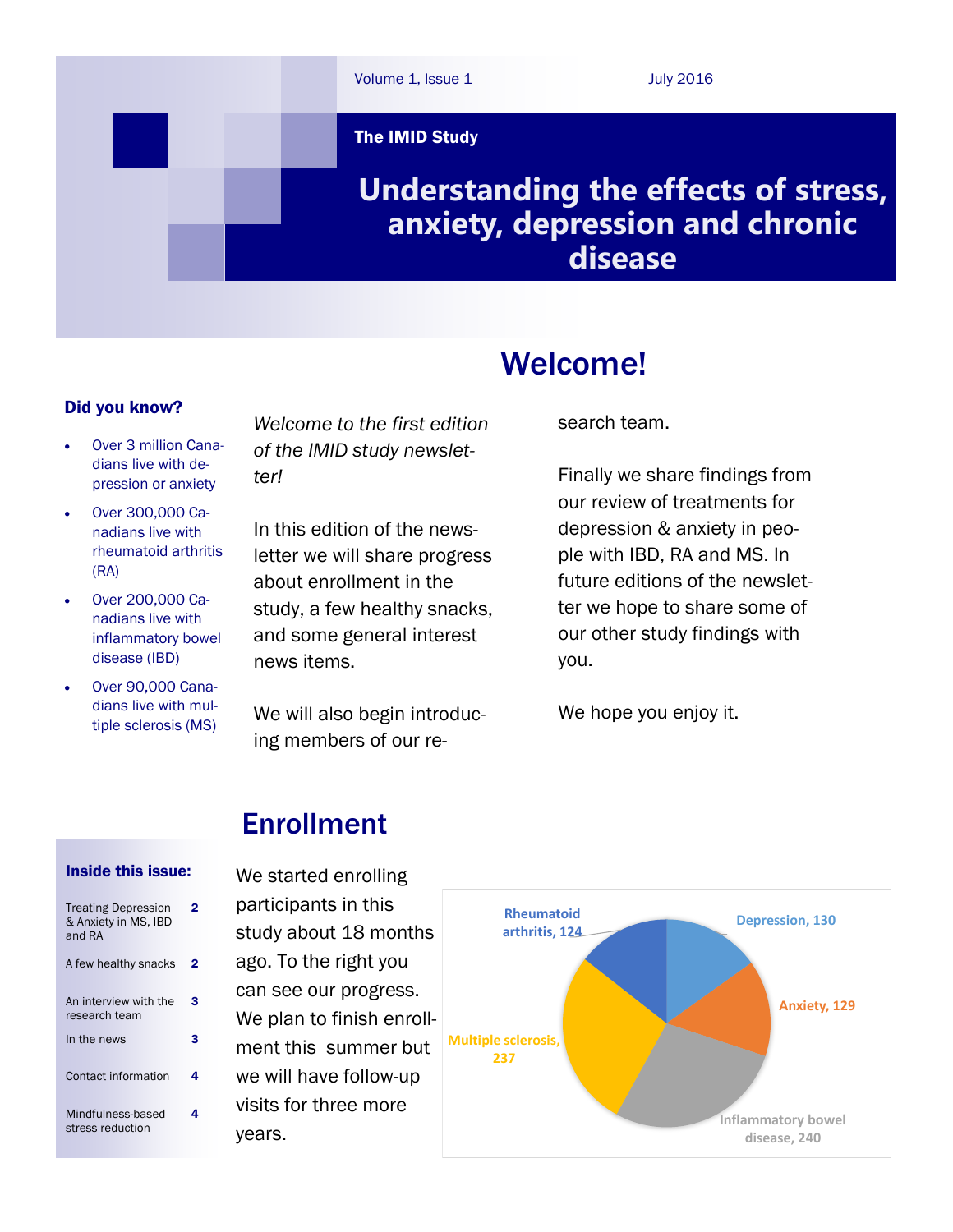

### Did you know?

- Over 3 million Canadians live with depression or anxiety
- Over 300,000 Canadians live with rheumatoid arthritis (RA)
- Over 200,000 Canadians live with inflammatory bowel disease (IBD)
- Over 90,000 Canadians live with multiple sclerosis (MS)

*Welcome to the first edition of the IMID study newsletter!*

In this edition of the newsletter we will share progress about enrollment in the study, a few healthy snacks, and some general interest news items.

We will also begin introducing members of our re-

# Welcome!

search team.

Finally we share findings from our review of treatments for depression & anxiety in people with IBD, RA and MS. In future editions of the newsletter we hope to share some of our other study findings with you.

We hope you enjoy it.

## Enrollment

#### Inside this issue:

| <b>Treating Depression</b><br>& Anxiety in MS, IBD<br>and RA | 2 |
|--------------------------------------------------------------|---|
| A few healthy snacks                                         | 2 |
| An interview with the<br>research team                       | з |
| In the news                                                  | з |
| Contact information                                          | 4 |
| Mindfulness-based<br>stress reduction                        |   |

We started enrolling participants in this study about 18 months ago. To the right you can see our progress. We plan to finish enrollment this summer but we will have follow-up visits for three more years.

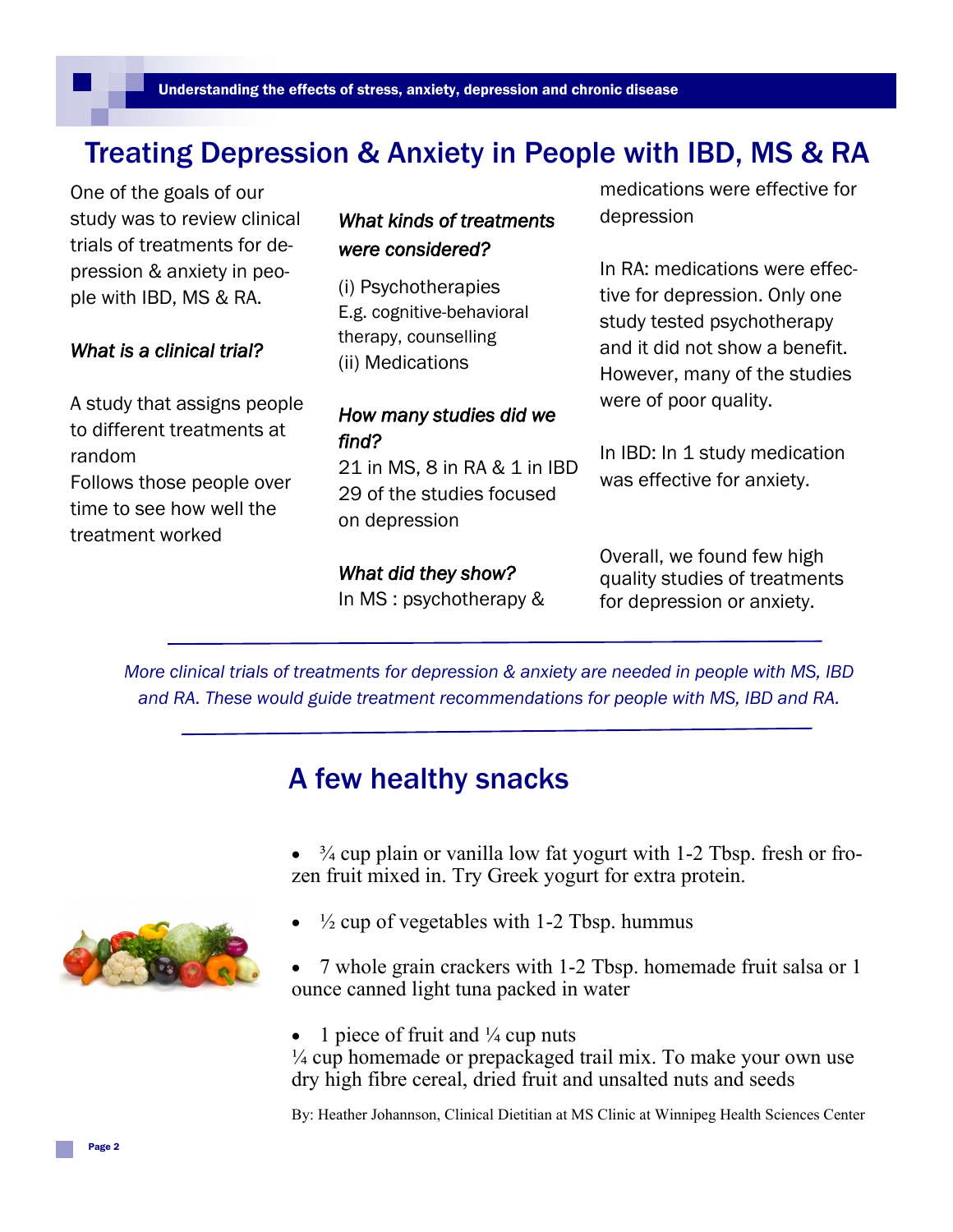## Treating Depression & Anxiety in People with IBD, MS & RA

One of the goals of our study was to review clinical trials of treatments for depression & anxiety in people with IBD, MS & RA.

#### *What is a clinical trial?*

A study that assigns people to different treatments at random Follows those people over time to see how well the treatment worked

### *What kinds of treatments were considered?*

(i) Psychotherapies E.g. cognitive-behavioral therapy, counselling (ii) Medications

### *How many studies did we find?*

21 in MS, 8 in RA & 1 in IBD 29 of the studies focused on depression

#### *What did they show?*

In MS : psychotherapy &

medications were effective for depression

In RA: medications were effective for depression. Only one study tested psychotherapy and it did not show a benefit. However, many of the studies were of poor quality.

In IBD: In 1 study medication was effective for anxiety.

Overall, we found few high quality studies of treatments for depression or anxiety.

*More clinical trials of treatments for depression & anxiety are needed in people with MS, IBD and RA. These would guide treatment recommendations for people with MS, IBD and RA.*

## A few healthy snacks

 ¾ cup plain or vanilla low fat yogurt with 1-2 Tbsp. fresh or frozen fruit mixed in. Try Greek yogurt for extra protein.

- 
- $\frac{1}{2}$  cup of vegetables with 1-2 Tbsp. hummus
	- 7 whole grain crackers with 1-2 Tbsp. homemade fruit salsa or 1 ounce canned light tuna packed in water
	- 1 piece of fruit and  $\frac{1}{4}$  cup nuts

 $\frac{1}{4}$  cup homemade or prepackaged trail mix. To make your own use dry high fibre cereal, dried fruit and unsalted nuts and seeds

By: Heather Johannson, Clinical Dietitian at MS Clinic at Winnipeg Health Sciences Center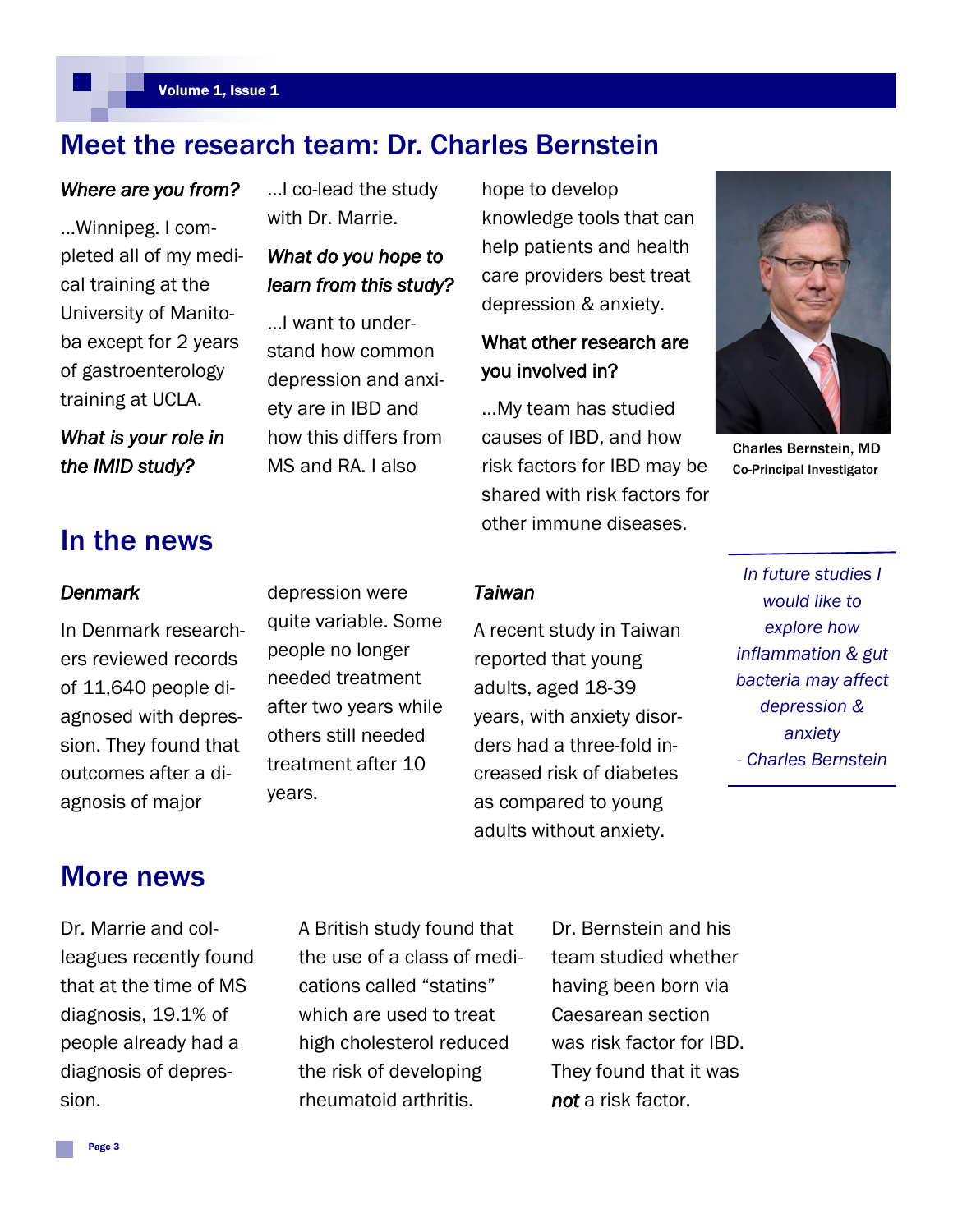## Meet the research team: Dr. Charles Bernstein

#### *Where are you from?*

...Winnipeg. I completed all of my medical training at the University of Manitoba except for 2 years of gastroenterology training at UCLA.

*What is your role in the IMID study?* 

## In the news

#### *Denmark*

In Denmark researchers reviewed records agnosis of major

# depression were quite variable. Some people no longer needed treatment after two years while others still needed

treatment after 10

years.

...I co-lead the study with Dr. Marrie.

### *What do you hope to learn from this study?*

...I want to understand how common depression and anxiety are in IBD and how this differs from MS and RA. I also

hope to develop knowledge tools that can help patients and health care providers best treat depression & anxiety.

### What other research are you involved in?

...My team has studied causes of IBD, and how risk factors for IBD may be shared with risk factors for other immune diseases.

A recent study in Taiwan

years, with anxiety disorders had a three-fold increased risk of diabetes as compared to young adults without anxiety.

reported that young adults, aged 18-39

*Taiwan* 



Charles Bernstein, MD Co-Principal Investigator

*In future studies I would like to explore how inflammation & gut bacteria may affect depression & anxiety - Charles Bernstein*

of 11,640 people diagnosed with depression. They found that outcomes after a di-

### More news

Dr. Marrie and colleagues recently found that at the time of MS diagnosis, 19.1% of people already had a diagnosis of depression.

A British study found that the use of a class of medications called "statins" which are used to treat high cholesterol reduced the risk of developing rheumatoid arthritis.

Dr. Bernstein and his team studied whether having been born via Caesarean section was risk factor for IBD. They found that it was *not* a risk factor.